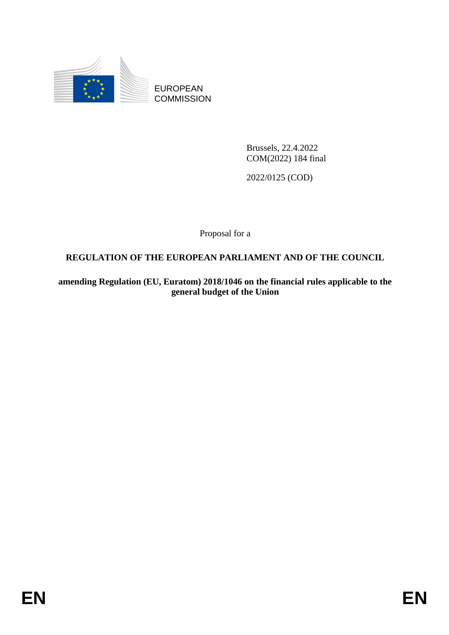

EUROPEAN **COMMISSION** 

> Brussels, 22.4.2022 COM(2022) 184 final

2022/0125 (COD)

Proposal for a

### **REGULATION OF THE EUROPEAN PARLIAMENT AND OF THE COUNCIL**

**amending Regulation (EU, Euratom) 2018/1046 on the financial rules applicable to the general budget of the Union**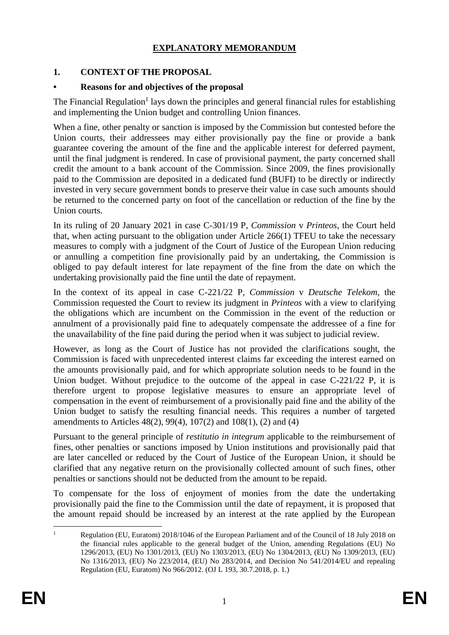### **EXPLANATORY MEMORANDUM**

#### **1. CONTEXT OF THE PROPOSAL**

#### **• Reasons for and objectives of the proposal**

The Financial Regulation<sup>1</sup> lays down the principles and general financial rules for establishing and implementing the Union budget and controlling Union finances.

When a fine, other penalty or sanction is imposed by the Commission but contested before the Union courts, their addressees may either provisionally pay the fine or provide a bank guarantee covering the amount of the fine and the applicable interest for deferred payment, until the final judgment is rendered. In case of provisional payment, the party concerned shall credit the amount to a bank account of the Commission. Since 2009, the fines provisionally paid to the Commission are deposited in a dedicated fund (BUFI) to be directly or indirectly invested in very secure government bonds to preserve their value in case such amounts should be returned to the concerned party on foot of the cancellation or reduction of the fine by the Union courts.

In its ruling of 20 January 2021 in case C-301/19 P, *Commission* v *Printeos*, the Court held that, when acting pursuant to the obligation under Article 266(1) TFEU to take the necessary measures to comply with a judgment of the Court of Justice of the European Union reducing or annulling a competition fine provisionally paid by an undertaking, the Commission is obliged to pay default interest for late repayment of the fine from the date on which the undertaking provisionally paid the fine until the date of repayment.

In the context of its appeal in case C-221/22 P, *Commission* v *Deutsche Telekom*, the Commission requested the Court to review its judgment in *Printeos* with a view to clarifying the obligations which are incumbent on the Commission in the event of the reduction or annulment of a provisionally paid fine to adequately compensate the addressee of a fine for the unavailability of the fine paid during the period when it was subject to judicial review.

However, as long as the Court of Justice has not provided the clarifications sought, the Commission is faced with unprecedented interest claims far exceeding the interest earned on the amounts provisionally paid, and for which appropriate solution needs to be found in the Union budget. Without prejudice to the outcome of the appeal in case C-221/22 P, it is therefore urgent to propose legislative measures to ensure an appropriate level of compensation in the event of reimbursement of a provisionally paid fine and the ability of the Union budget to satisfy the resulting financial needs. This requires a number of targeted amendments to Articles 48(2), 99(4), 107(2) and 108(1), (2) and (4)

Pursuant to the general principle of *restitutio in integrum* applicable to the reimbursement of fines, other penalties or sanctions imposed by Union institutions and provisionally paid that are later cancelled or reduced by the Court of Justice of the European Union, it should be clarified that any negative return on the provisionally collected amount of such fines, other penalties or sanctions should not be deducted from the amount to be repaid.

To compensate for the loss of enjoyment of monies from the date the undertaking provisionally paid the fine to the Commission until the date of repayment, it is proposed that the amount repaid should be increased by an interest at the rate applied by the European

1

<sup>&</sup>lt;sup>1</sup> Regulation (EU, Euratom) 2018/1046 of the European Parliament and of the Council of 18 July 2018 on the financial rules applicable to the general budget of the Union, amending Regulations (EU) No 1296/2013, (EU) No 1301/2013, (EU) No 1303/2013, (EU) No 1304/2013, (EU) No 1309/2013, (EU) No 1316/2013, (EU) No 223/2014, (EU) No 283/2014, and Decision No 541/2014/EU and repealing Regulation (EU, Euratom) No 966/2012. (OJ L 193, 30.7.2018, p. 1.)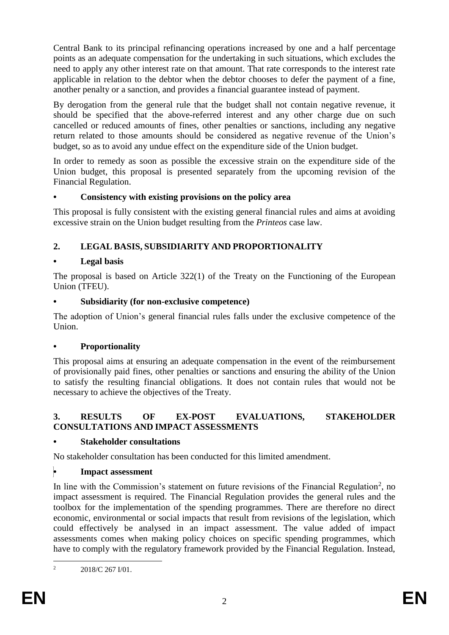Central Bank to its principal refinancing operations increased by one and a half percentage points as an adequate compensation for the undertaking in such situations, which excludes the need to apply any other interest rate on that amount. That rate corresponds to the interest rate applicable in relation to the debtor when the debtor chooses to defer the payment of a fine, another penalty or a sanction, and provides a financial guarantee instead of payment.

By derogation from the general rule that the budget shall not contain negative revenue, it should be specified that the above-referred interest and any other charge due on such cancelled or reduced amounts of fines, other penalties or sanctions, including any negative return related to those amounts should be considered as negative revenue of the Union's budget, so as to avoid any undue effect on the expenditure side of the Union budget.

In order to remedy as soon as possible the excessive strain on the expenditure side of the Union budget, this proposal is presented separately from the upcoming revision of the Financial Regulation.

#### **• Consistency with existing provisions on the policy area**

This proposal is fully consistent with the existing general financial rules and aims at avoiding excessive strain on the Union budget resulting from the *Printeos* case law.

### **2. LEGAL BASIS, SUBSIDIARITY AND PROPORTIONALITY**

#### **• Legal basis**

The proposal is based on Article 322(1) of the Treaty on the Functioning of the European Union (TFEU).

#### **• Subsidiarity (for non-exclusive competence)**

The adoption of Union's general financial rules falls under the exclusive competence of the Union.

#### **• Proportionality**

This proposal aims at ensuring an adequate compensation in the event of the reimbursement of provisionally paid fines, other penalties or sanctions and ensuring the ability of the Union to satisfy the resulting financial obligations. It does not contain rules that would not be necessary to achieve the objectives of the Treaty.

#### **3. RESULTS OF EX-POST EVALUATIONS, STAKEHOLDER CONSULTATIONS AND IMPACT ASSESSMENTS**

#### **• Stakeholder consultations**

No stakeholder consultation has been conducted for this limited amendment.

#### **• Impact assessment**

In line with the Commission's statement on future revisions of the Financial Regulation<sup>2</sup>, no impact assessment is required. The Financial Regulation provides the general rules and the toolbox for the implementation of the spending programmes. There are therefore no direct economic, environmental or social impacts that result from revisions of the legislation, which could effectively be analysed in an impact assessment. The value added of impact assessments comes when making policy choices on specific spending programmes, which have to comply with the regulatory framework provided by the Financial Regulation. Instead,

 $\overline{2}$ <sup>2</sup> 2018/C 267 I/01.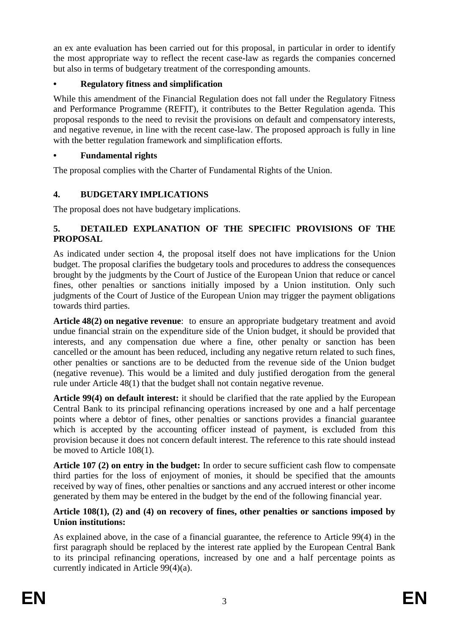an ex ante evaluation has been carried out for this proposal, in particular in order to identify the most appropriate way to reflect the recent case-law as regards the companies concerned but also in terms of budgetary treatment of the corresponding amounts.

### **• Regulatory fitness and simplification**

While this amendment of the Financial Regulation does not fall under the Regulatory Fitness and Performance Programme (REFIT), it contributes to the Better Regulation agenda. This proposal responds to the need to revisit the provisions on default and compensatory interests, and negative revenue, in line with the recent case-law. The proposed approach is fully in line with the better regulation framework and simplification efforts.

### **• Fundamental rights**

The proposal complies with the Charter of Fundamental Rights of the Union.

### **4. BUDGETARY IMPLICATIONS**

The proposal does not have budgetary implications.

#### **5. DETAILED EXPLANATION OF THE SPECIFIC PROVISIONS OF THE PROPOSAL**

As indicated under section 4, the proposal itself does not have implications for the Union budget. The proposal clarifies the budgetary tools and procedures to address the consequences brought by the judgments by the Court of Justice of the European Union that reduce or cancel fines, other penalties or sanctions initially imposed by a Union institution. Only such judgments of the Court of Justice of the European Union may trigger the payment obligations towards third parties.

**Article 48(2) on negative revenue**: to ensure an appropriate budgetary treatment and avoid undue financial strain on the expenditure side of the Union budget, it should be provided that interests, and any compensation due where a fine, other penalty or sanction has been cancelled or the amount has been reduced, including any negative return related to such fines, other penalties or sanctions are to be deducted from the revenue side of the Union budget (negative revenue). This would be a limited and duly justified derogation from the general rule under Article 48(1) that the budget shall not contain negative revenue.

**Article 99(4) on default interest:** it should be clarified that the rate applied by the European Central Bank to its principal refinancing operations increased by one and a half percentage points where a debtor of fines, other penalties or sanctions provides a financial guarantee which is accepted by the accounting officer instead of payment, is excluded from this provision because it does not concern default interest. The reference to this rate should instead be moved to Article 108(1).

**Article 107 (2) on entry in the budget:** In order to secure sufficient cash flow to compensate third parties for the loss of enjoyment of monies, it should be specified that the amounts received by way of fines, other penalties or sanctions and any accrued interest or other income generated by them may be entered in the budget by the end of the following financial year.

#### **Article 108(1), (2) and (4) on recovery of fines, other penalties or sanctions imposed by Union institutions:**

As explained above, in the case of a financial guarantee, the reference to Article 99(4) in the first paragraph should be replaced by the interest rate applied by the European Central Bank to its principal refinancing operations, increased by one and a half percentage points as currently indicated in Article 99(4)(a).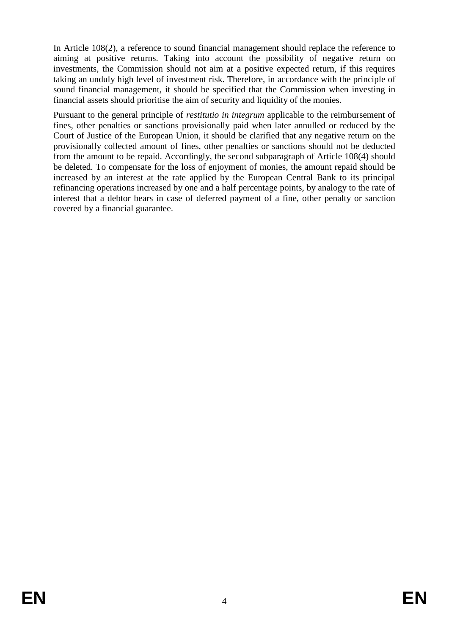In Article 108(2), a reference to sound financial management should replace the reference to aiming at positive returns. Taking into account the possibility of negative return on investments, the Commission should not aim at a positive expected return, if this requires taking an unduly high level of investment risk. Therefore, in accordance with the principle of sound financial management, it should be specified that the Commission when investing in financial assets should prioritise the aim of security and liquidity of the monies.

Pursuant to the general principle of *restitutio in integrum* applicable to the reimbursement of fines, other penalties or sanctions provisionally paid when later annulled or reduced by the Court of Justice of the European Union, it should be clarified that any negative return on the provisionally collected amount of fines, other penalties or sanctions should not be deducted from the amount to be repaid. Accordingly, the second subparagraph of Article 108(4) should be deleted. To compensate for the loss of enjoyment of monies, the amount repaid should be increased by an interest at the rate applied by the European Central Bank to its principal refinancing operations increased by one and a half percentage points, by analogy to the rate of interest that a debtor bears in case of deferred payment of a fine, other penalty or sanction covered by a financial guarantee.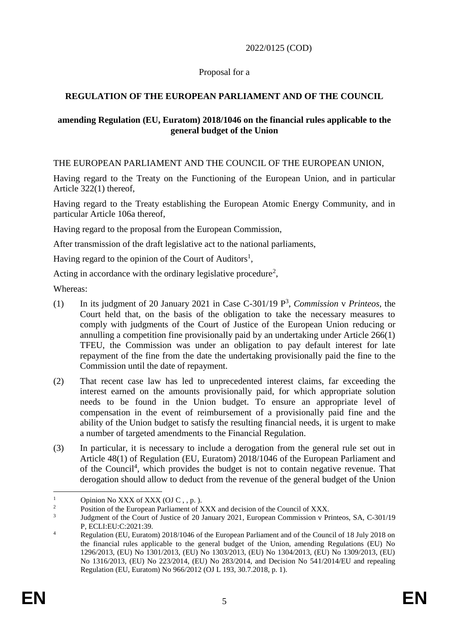#### 2022/0125 (COD)

#### Proposal for a

### **REGULATION OF THE EUROPEAN PARLIAMENT AND OF THE COUNCIL**

#### **amending Regulation (EU, Euratom) 2018/1046 on the financial rules applicable to the general budget of the Union**

THE EUROPEAN PARLIAMENT AND THE COUNCIL OF THE EUROPEAN UNION,

Having regard to the Treaty on the Functioning of the European Union, and in particular Article 322(1) thereof,

Having regard to the Treaty establishing the European Atomic Energy Community, and in particular Article 106a thereof,

Having regard to the proposal from the European Commission,

After transmission of the draft legislative act to the national parliaments,

Having regard to the opinion of the Court of Auditors<sup>1</sup>,

Acting in accordance with the ordinary legislative procedure<sup>2</sup>,

Whereas:

- (1) In its judgment of 20 January 2021 in Case C-301/19 P<sup>3</sup> , *Commission* v *Printeos*, the Court held that, on the basis of the obligation to take the necessary measures to comply with judgments of the Court of Justice of the European Union reducing or annulling a competition fine provisionally paid by an undertaking under Article 266(1) TFEU, the Commission was under an obligation to pay default interest for late repayment of the fine from the date the undertaking provisionally paid the fine to the Commission until the date of repayment.
- (2) That recent case law has led to unprecedented interest claims, far exceeding the interest earned on the amounts provisionally paid, for which appropriate solution needs to be found in the Union budget. To ensure an appropriate level of compensation in the event of reimbursement of a provisionally paid fine and the ability of the Union budget to satisfy the resulting financial needs, it is urgent to make a number of targeted amendments to the Financial Regulation.
- (3) In particular, it is necessary to include a derogation from the general rule set out in Article 48(1) of Regulation (EU, Euratom) 2018/1046 of the European Parliament and of the Council<sup>4</sup>, which provides the budget is not to contain negative revenue. That derogation should allow to deduct from the revenue of the general budget of the Union

 $\mathbf{1}$ <sup>1</sup> Opinion No XXX of XXX (OJ C, , p.).<br>
<sup>2</sup> Position of the European Parliament of N

Position of the European Parliament of XXX and decision of the Council of XXX.

<sup>3</sup> Judgment of the Court of Justice of 20 January 2021, European Commission v Printeos, SA, C-301/19 P, ECLI:EU:C:2021:39.

<sup>&</sup>lt;sup>4</sup> Regulation (EU, Euratom) 2018/1046 of the European Parliament and of the Council of 18 July 2018 on the financial rules applicable to the general budget of the Union, amending Regulations (EU) No 1296/2013, (EU) No 1301/2013, (EU) No 1303/2013, (EU) No 1304/2013, (EU) No 1309/2013, (EU) No 1316/2013, (EU) No 223/2014, (EU) No 283/2014, and Decision No 541/2014/EU and repealing Regulation (EU, Euratom) No 966/2012 (OJ L 193, 30.7.2018, p. 1).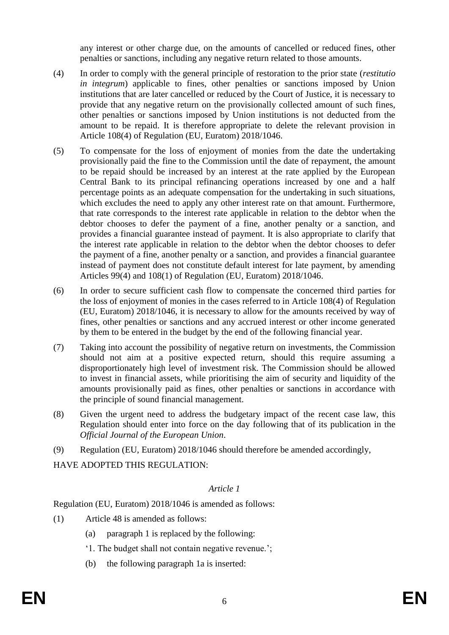any interest or other charge due, on the amounts of cancelled or reduced fines, other penalties or sanctions, including any negative return related to those amounts.

- (4) In order to comply with the general principle of restoration to the prior state (*restitutio in integrum*) applicable to fines, other penalties or sanctions imposed by Union institutions that are later cancelled or reduced by the Court of Justice, it is necessary to provide that any negative return on the provisionally collected amount of such fines, other penalties or sanctions imposed by Union institutions is not deducted from the amount to be repaid. It is therefore appropriate to delete the relevant provision in Article 108(4) of Regulation (EU, Euratom) 2018/1046.
- (5) To compensate for the loss of enjoyment of monies from the date the undertaking provisionally paid the fine to the Commission until the date of repayment, the amount to be repaid should be increased by an interest at the rate applied by the European Central Bank to its principal refinancing operations increased by one and a half percentage points as an adequate compensation for the undertaking in such situations, which excludes the need to apply any other interest rate on that amount. Furthermore, that rate corresponds to the interest rate applicable in relation to the debtor when the debtor chooses to defer the payment of a fine, another penalty or a sanction, and provides a financial guarantee instead of payment. It is also appropriate to clarify that the interest rate applicable in relation to the debtor when the debtor chooses to defer the payment of a fine, another penalty or a sanction, and provides a financial guarantee instead of payment does not constitute default interest for late payment, by amending Articles 99(4) and 108(1) of Regulation (EU, Euratom) 2018/1046.
- (6) In order to secure sufficient cash flow to compensate the concerned third parties for the loss of enjoyment of monies in the cases referred to in Article 108(4) of Regulation (EU, Euratom) 2018/1046, it is necessary to allow for the amounts received by way of fines, other penalties or sanctions and any accrued interest or other income generated by them to be entered in the budget by the end of the following financial year.
- (7) Taking into account the possibility of negative return on investments, the Commission should not aim at a positive expected return, should this require assuming a disproportionately high level of investment risk. The Commission should be allowed to invest in financial assets, while prioritising the aim of security and liquidity of the amounts provisionally paid as fines, other penalties or sanctions in accordance with the principle of sound financial management.
- (8) Given the urgent need to address the budgetary impact of the recent case law, this Regulation should enter into force on the day following that of its publication in the *Official Journal of the European Union*.
- (9) Regulation (EU, Euratom) 2018/1046 should therefore be amended accordingly,

HAVE ADOPTED THIS REGULATION:

#### *Article 1*

Regulation (EU, Euratom) 2018/1046 is amended as follows:

- (1) Article 48 is amended as follows:
	- (a) paragraph 1 is replaced by the following:
	- '1. The budget shall not contain negative revenue.';
	- (b) the following paragraph 1a is inserted: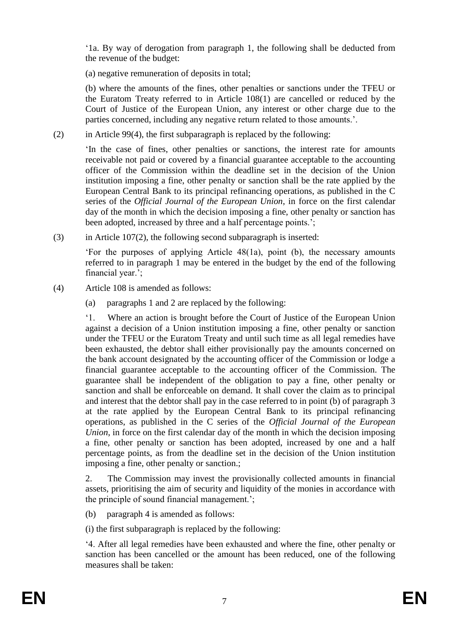'1a. By way of derogation from paragraph 1, the following shall be deducted from the revenue of the budget:

(a) negative remuneration of deposits in total;

(b) where the amounts of the fines, other penalties or sanctions under the TFEU or the Euratom Treaty referred to in Article 108(1) are cancelled or reduced by the Court of Justice of the European Union, any interest or other charge due to the parties concerned, including any negative return related to those amounts.'.

(2) in Article 99(4), the first subparagraph is replaced by the following:

'In the case of fines, other penalties or sanctions, the interest rate for amounts receivable not paid or covered by a financial guarantee acceptable to the accounting officer of the Commission within the deadline set in the decision of the Union institution imposing a fine, other penalty or sanction shall be the rate applied by the European Central Bank to its principal refinancing operations, as published in the C series of the *Official Journal of the European Union*, in force on the first calendar day of the month in which the decision imposing a fine, other penalty or sanction has been adopted, increased by three and a half percentage points.':

(3) in Article 107(2), the following second subparagraph is inserted:

'For the purposes of applying Article 48(1a), point (b), the necessary amounts referred to in paragraph 1 may be entered in the budget by the end of the following financial year.';

- (4) Article 108 is amended as follows:
	- (a) paragraphs 1 and 2 are replaced by the following:

'1. Where an action is brought before the Court of Justice of the European Union against a decision of a Union institution imposing a fine, other penalty or sanction under the TFEU or the Euratom Treaty and until such time as all legal remedies have been exhausted, the debtor shall either provisionally pay the amounts concerned on the bank account designated by the accounting officer of the Commission or lodge a financial guarantee acceptable to the accounting officer of the Commission. The guarantee shall be independent of the obligation to pay a fine, other penalty or sanction and shall be enforceable on demand. It shall cover the claim as to principal and interest that the debtor shall pay in the case referred to in point (b) of paragraph 3 at the rate applied by the European Central Bank to its principal refinancing operations, as published in the C series of the *Official Journal of the European Union*, in force on the first calendar day of the month in which the decision imposing a fine, other penalty or sanction has been adopted, increased by one and a half percentage points, as from the deadline set in the decision of the Union institution imposing a fine, other penalty or sanction.;

2. The Commission may invest the provisionally collected amounts in financial assets, prioritising the aim of security and liquidity of the monies in accordance with the principle of sound financial management.';

(b) paragraph 4 is amended as follows:

(i) the first subparagraph is replaced by the following:

'4. After all legal remedies have been exhausted and where the fine, other penalty or sanction has been cancelled or the amount has been reduced, one of the following measures shall be taken: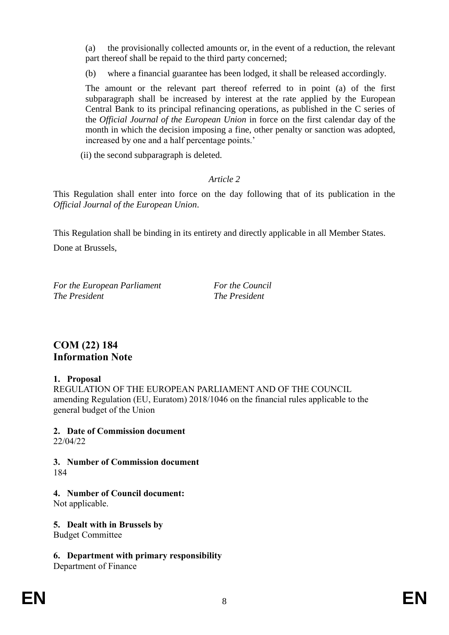(a) the provisionally collected amounts or, in the event of a reduction, the relevant part thereof shall be repaid to the third party concerned;

(b) where a financial guarantee has been lodged, it shall be released accordingly.

The amount or the relevant part thereof referred to in point (a) of the first subparagraph shall be increased by interest at the rate applied by the European Central Bank to its principal refinancing operations, as published in the C series of the *Official Journal of the European Union* in force on the first calendar day of the month in which the decision imposing a fine, other penalty or sanction was adopted, increased by one and a half percentage points.'

(ii) the second subparagraph is deleted.

### *Article 2*

This Regulation shall enter into force on the day following that of its publication in the *Official Journal of the European Union*.

This Regulation shall be binding in its entirety and directly applicable in all Member States. Done at Brussels,

*For the European Parliament For the Council The President The President*

# **COM (22) 184 Information Note**

#### **1. Proposal**

REGULATION OF THE EUROPEAN PARLIAMENT AND OF THE COUNCIL amending Regulation (EU, Euratom) 2018/1046 on the financial rules applicable to the general budget of the Union

### **2. Date of Commission document**

22/04/22

**3. Number of Commission document** 184

### **4. Number of Council document:**

Not applicable.

**5. Dealt with in Brussels by**

Budget Committee

**6. Department with primary responsibility**

Department of Finance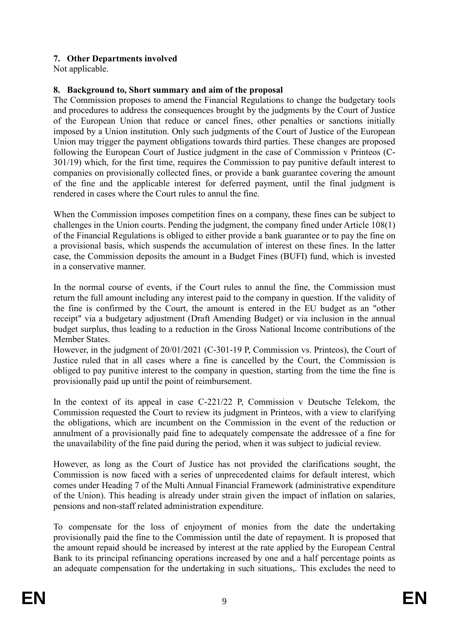### **7. Other Departments involved**

Not applicable.

### **8. Background to, Short summary and aim of the proposal**

The Commission proposes to amend the Financial Regulations to change the budgetary tools and procedures to address the consequences brought by the judgments by the Court of Justice of the European Union that reduce or cancel fines, other penalties or sanctions initially imposed by a Union institution. Only such judgments of the Court of Justice of the European Union may trigger the payment obligations towards third parties. These changes are proposed following the European Court of Justice judgment in the case of Commission v Printeos (C-301/19) which, for the first time, requires the Commission to pay punitive default interest to companies on provisionally collected fines, or provide a bank guarantee covering the amount of the fine and the applicable interest for deferred payment, until the final judgment is rendered in cases where the Court rules to annul the fine.

When the Commission imposes competition fines on a company, these fines can be subject to challenges in the Union courts. Pending the judgment, the company fined under Article 108(1) of the Financial Regulations is obliged to either provide a bank guarantee or to pay the fine on a provisional basis, which suspends the accumulation of interest on these fines. In the latter case, the Commission deposits the amount in a Budget Fines (BUFI) fund, which is invested in a conservative manner.

In the normal course of events, if the Court rules to annul the fine, the Commission must return the full amount including any interest paid to the company in question. If the validity of the fine is confirmed by the Court, the amount is entered in the EU budget as an "other receipt" via a budgetary adjustment (Draft Amending Budget) or via inclusion in the annual budget surplus, thus leading to a reduction in the Gross National Income contributions of the Member States.

However, in the judgment of 20/01/2021 (C-301-19 P, Commission vs. Printeos), the Court of Justice ruled that in all cases where a fine is cancelled by the Court, the Commission is obliged to pay punitive interest to the company in question, starting from the time the fine is provisionally paid up until the point of reimbursement.

In the context of its appeal in case C-221/22 P, Commission v Deutsche Telekom, the Commission requested the Court to review its judgment in Printeos, with a view to clarifying the obligations, which are incumbent on the Commission in the event of the reduction or annulment of a provisionally paid fine to adequately compensate the addressee of a fine for the unavailability of the fine paid during the period, when it was subject to judicial review.

However, as long as the Court of Justice has not provided the clarifications sought, the Commission is now faced with a series of unprecedented claims for default interest, which comes under Heading 7 of the Multi Annual Financial Framework (administrative expenditure of the Union). This heading is already under strain given the impact of inflation on salaries, pensions and non-staff related administration expenditure.

To compensate for the loss of enjoyment of monies from the date the undertaking provisionally paid the fine to the Commission until the date of repayment. It is proposed that the amount repaid should be increased by interest at the rate applied by the European Central Bank to its principal refinancing operations increased by one and a half percentage points as an adequate compensation for the undertaking in such situations,. This excludes the need to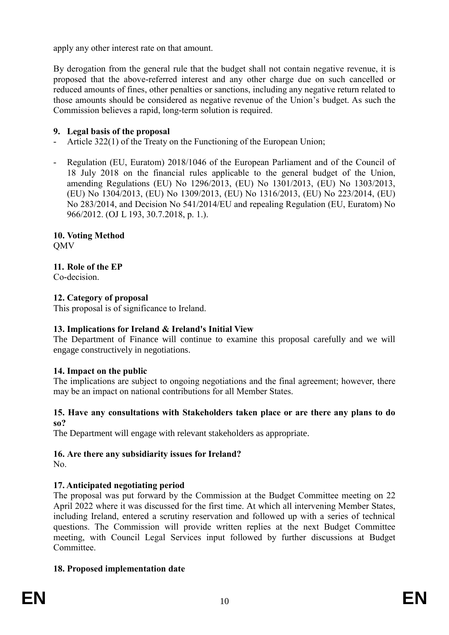apply any other interest rate on that amount.

By derogation from the general rule that the budget shall not contain negative revenue, it is proposed that the above-referred interest and any other charge due on such cancelled or reduced amounts of fines, other penalties or sanctions, including any negative return related to those amounts should be considered as negative revenue of the Union's budget. As such the Commission believes a rapid, long-term solution is required.

### **9. Legal basis of the proposal**

- Article 322(1) of the Treaty on the Functioning of the European Union;
- Regulation (EU, Euratom) 2018/1046 of the European Parliament and of the Council of 18 July 2018 on the financial rules applicable to the general budget of the Union, amending Regulations (EU) No 1296/2013, (EU) No 1301/2013, (EU) No 1303/2013, (EU) No 1304/2013, (EU) No 1309/2013, (EU) No 1316/2013, (EU) No 223/2014, (EU) No 283/2014, and Decision No 541/2014/EU and repealing Regulation (EU, Euratom) No 966/2012. (OJ L 193, 30.7.2018, p. 1.).

#### **10. Voting Method OMV**

### **11. Role of the EP**

Co-decision.

### **12. Category of proposal**

This proposal is of significance to Ireland.

### **13. Implications for Ireland & Ireland's Initial View**

The Department of Finance will continue to examine this proposal carefully and we will engage constructively in negotiations.

### **14. Impact on the public**

The implications are subject to ongoing negotiations and the final agreement; however, there may be an impact on national contributions for all Member States.

#### **15. Have any consultations with Stakeholders taken place or are there any plans to do so?**

The Department will engage with relevant stakeholders as appropriate.

## **16. Are there any subsidiarity issues for Ireland?**

No.

## **17. Anticipated negotiating period**

The proposal was put forward by the Commission at the Budget Committee meeting on 22 April 2022 where it was discussed for the first time. At which all intervening Member States, including Ireland, entered a scrutiny reservation and followed up with a series of technical questions. The Commission will provide written replies at the next Budget Committee meeting, with Council Legal Services input followed by further discussions at Budget Committee.

### **18. Proposed implementation date**